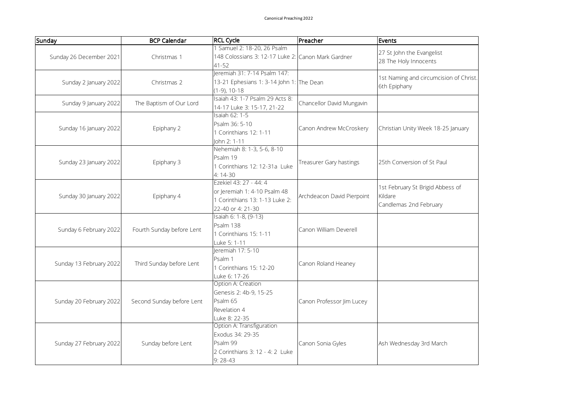| Sunday                  | <b>BCP Calendar</b>       | <b>RCL Cycle</b>                                            | Preacher                   | Events                                 |
|-------------------------|---------------------------|-------------------------------------------------------------|----------------------------|----------------------------------------|
|                         |                           | 1 Samuel 2: 18-20, 26 Psalm                                 |                            | 27 St John the Evangelist              |
| Sunday 26 December 2021 | Christmas 1               | 148 Colossians 3: 12-17 Luke 2: Canon Mark Gardner          |                            | 28 The Holy Innocents                  |
|                         |                           | $41 - 52$<br>Jeremiah 31: 7-14 Psalm 147:                   |                            |                                        |
|                         |                           |                                                             |                            | 1st Naming and circumcision of Christ. |
| Sunday 2 January 2022   | Christmas 2               | 13-21 Ephesians 1: 3-14 John 1: The Dean<br>$(1-9)$ , 10-18 |                            | 6th Epiphany                           |
|                         |                           | Isaiah 43: 1-7 Psalm 29 Acts 8:                             |                            |                                        |
| Sunday 9 January 2022   | The Baptism of Our Lord   | 14-17 Luke 3: 15-17, 21-22                                  | Chancellor David Mungavin  |                                        |
|                         |                           | Isaiah 62: 1-5                                              |                            |                                        |
|                         |                           | Psalm 36: 5-10                                              |                            |                                        |
| Sunday 16 January 2022  | Epiphany 2                | 1 Corinthians 12: 1-11                                      | Canon Andrew McCroskery    | Christian Unity Week 18-25 January     |
|                         |                           | John 2: 1-11                                                |                            |                                        |
|                         |                           | Nehemiah 8: 1-3, 5-6, 8-10                                  |                            |                                        |
|                         |                           | Psalm 19                                                    |                            |                                        |
| Sunday 23 January 2022  | Epiphany 3                | 1 Corinthians 12: 12-31a Luke                               | Treasurer Gary hastings    | 25th Conversion of St Paul             |
|                         |                           | 4:14-30                                                     |                            |                                        |
|                         |                           | Ezekiel 43: 27 - 44: 4                                      |                            | 1st February St Brigid Abbess of       |
| Sunday 30 January 2022  | Epiphany 4                | or Jeremiah 1: 4-10 Psalm 48                                | Archdeacon David Pierpoint | Kildare                                |
|                         |                           | 1 Corinthians 13: 1-13 Luke 2:                              |                            | Candlemas 2nd February                 |
|                         |                           | 22-40 or 4: 21-30                                           |                            |                                        |
|                         |                           | Isaiah 6: 1-8, (9-13)                                       |                            |                                        |
| Sunday 6 February 2022  | Fourth Sunday before Lent | Psalm 138                                                   | Canon William Deverell     |                                        |
|                         |                           | 1 Corinthians 15: 1-11                                      |                            |                                        |
|                         |                           | Luke 5: 1-11<br>Jeremiah 17: 5-10                           |                            |                                        |
|                         | Third Sunday before Lent  | Psalm 1                                                     | Canon Roland Heaney        |                                        |
| Sunday 13 February 2022 |                           | 1 Corinthians 15: 12-20                                     |                            |                                        |
|                         |                           | Luke 6: 17-26                                               |                            |                                        |
|                         |                           | Option A: Creation                                          |                            |                                        |
|                         |                           | Genesis 2: 4b-9, 15-25                                      |                            |                                        |
| Sunday 20 February 2022 | Second Sunday before Lent | Psalm 65                                                    | Canon Professor Jim Lucey  |                                        |
|                         |                           | Revelation 4                                                |                            |                                        |
|                         |                           | Luke 8: 22-35                                               |                            |                                        |
|                         |                           | Option A: Transfiguration                                   |                            |                                        |
|                         |                           | Exodus 34: 29-35                                            |                            |                                        |
| Sunday 27 February 2022 | Sunday before Lent        | Psalm 99                                                    | Canon Sonia Gyles          | Ash Wednesday 3rd March                |
|                         |                           | 2 Corinthians 3: 12 - 4: 2 Luke                             |                            |                                        |
|                         |                           | $9:28-43$                                                   |                            |                                        |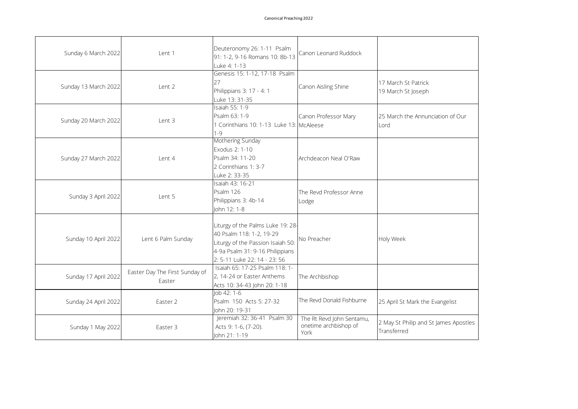| Sunday 6 March 2022  | Lent 1                                   | Deuteronomy 26: 1-11 Psalm<br>91: 1-2, 9-16 Romans 10: 8b-13<br>Luke 4: 1-13                                                                                          | Canon Leonard Ruddock                                      |                                                      |
|----------------------|------------------------------------------|-----------------------------------------------------------------------------------------------------------------------------------------------------------------------|------------------------------------------------------------|------------------------------------------------------|
| Sunday 13 March 2022 | Lent 2                                   | Genesis 15: 1-12, 17-18 Psalm<br>27<br>Philippians 3: 17 - 4: 1<br>Luke 13: 31-35                                                                                     | Canon Aisling Shine                                        | 17 March St Patrick<br>19 March St Joseph            |
| Sunday 20 March 2022 | Lent 3                                   | Isaiah 55: 1-9<br>Psalm 63: 1-9<br>1 Corinthians 10: 1-13 Luke 13: McAleese<br>$1 - 9$                                                                                | Canon Professor Mary                                       | 25 March the Annunciation of Our<br>Lord             |
| Sunday 27 March 2022 | Lent 4                                   | Mothering Sunday<br>Exodus 2: 1-10<br>Psalm 34: 11-20<br>2 Corinthians 1: 3-7<br>Luke 2: 33-35                                                                        | Archdeacon Neal O'Raw                                      |                                                      |
| Sunday 3 April 2022  | Lent 5                                   | Isaiah 43: 16-21<br>Psalm 126<br>Philippians 3: 4b-14<br>John 12: 1-8                                                                                                 | The Revd Professor Anne<br>Lodge                           |                                                      |
| Sunday 10 April 2022 | Lent 6 Palm Sunday                       | Liturgy of the Palms Luke 19: 28-<br>40 Psalm 118: 1-2, 19-29<br>Liturgy of the Passion Isaiah 50:<br>4-9a Psalm 31: 9-16 Philippians<br>2: 5-11 Luke 22: 14 - 23: 56 | No Preacher                                                | Holy Week                                            |
| Sunday 17 April 2022 | Easter Day The First Sunday of<br>Easter | Isaiah 65: 17-25 Psalm 118: 1-<br>2.14-24 or Easter Anthems<br>Acts 10: 34-43 John 20: 1-18                                                                           | The Archbishop                                             |                                                      |
| Sunday 24 April 2022 | Easter 2                                 | lob 42: 1-6<br>Psalm 150 Acts 5: 27-32<br>John 20: 19-31                                                                                                              | The Revd Donald Fishburne                                  | 25 April St Mark the Evangelist                      |
| Sunday 1 May 2022    | Easter 3                                 | Jeremiah 32: 36-41 Psalm 30<br>Acts 9: 1-6, (7-20).<br>John 21: 1-19                                                                                                  | The Rt Revd John Sentamu,<br>onetime archbishop of<br>York | 2 May St Philip and St James Apostles<br>Transferred |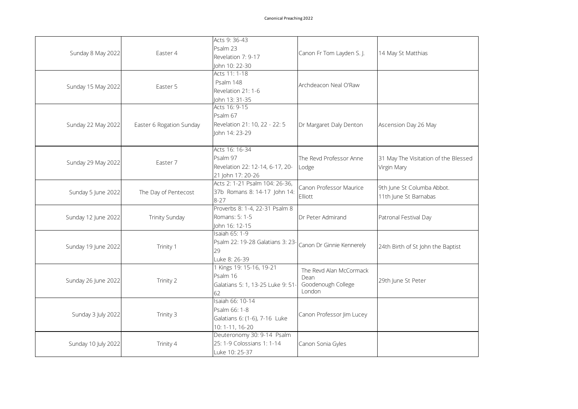| Sunday 8 May 2022   | Easter 4                 | Acts 9: 36-43<br>Psalm 23<br>Revelation 7: 9-17<br>John 10: 22-30                     | Canon Fr Tom Layden S. J.                                       | 14 May St Matthias                                  |
|---------------------|--------------------------|---------------------------------------------------------------------------------------|-----------------------------------------------------------------|-----------------------------------------------------|
| Sunday 15 May 2022  | Easter 5                 | Acts 11: 1-18<br>Psalm 148<br>Revelation 21: 1-6<br>John 13: 31-35                    | Archdeacon Neal O'Raw                                           |                                                     |
| Sunday 22 May 2022  | Easter 6 Rogation Sunday | Acts 16: 9-15<br>Psalm 67<br>Revelation 21: 10, 22 - 22: 5<br>John 14: 23-29          | Dr Margaret Daly Denton                                         | Ascension Day 26 May                                |
| Sunday 29 May 2022  | Easter 7                 | Acts 16: 16-34<br>Psalm 97<br>Revelation 22: 12-14, 6-17, 20-<br>21 John 17: 20-26    | The Revd Professor Anne<br>Lodge                                | 31 May The Visitation of the Blessed<br>Virgin Mary |
| Sunday 5 June 2022  | The Day of Pentecost     | Acts 2: 1-21 Psalm 104: 26-36,<br>37b Romans 8: 14-17 John 14:<br>$8 - 27$            | Canon Professor Maurice<br>Elliott                              | 9th June St Columba Abbot.<br>11th June St Barnabas |
| Sunday 12 June 2022 | <b>Trinity Sunday</b>    | Proverbs 8: 1-4, 22-31 Psalm 8<br>Romans: 5: 1-5<br>John 16: 12-15                    | Dr Peter Admirand                                               | Patronal Festival Day                               |
| Sunday 19 June 2022 | Trinity 1                | Isaiah 65: 1-9<br>Psalm 22: 19-28 Galatians 3: 23-<br>29<br>Luke 8: 26-39             | Canon Dr Ginnie Kennerely                                       | 24th Birth of St John the Baptist                   |
| Sunday 26 June 2022 | Trinity 2                | 1 Kings 19: 15-16, 19-21<br>Psalm 16<br>Galatians 5: 1, 13-25 Luke 9: 51<br>62        | The Revd Alan McCormack<br>Dean<br>Goodenough College<br>London | 29th June St Peter                                  |
| Sunday 3 July 2022  | Trinity 3                | Isaiah 66: 10-14<br>Psalm 66: 1-8<br>Galatians 6: (1-6), 7-16 Luke<br>10: 1-11, 16-20 | Canon Professor Jim Lucey                                       |                                                     |
| Sunday 10 July 2022 | Trinity 4                | Deuteronomy 30: 9-14 Psalm<br>25: 1-9 Colossians 1: 1-14<br>Luke 10: 25-37            | Canon Sonia Gyles                                               |                                                     |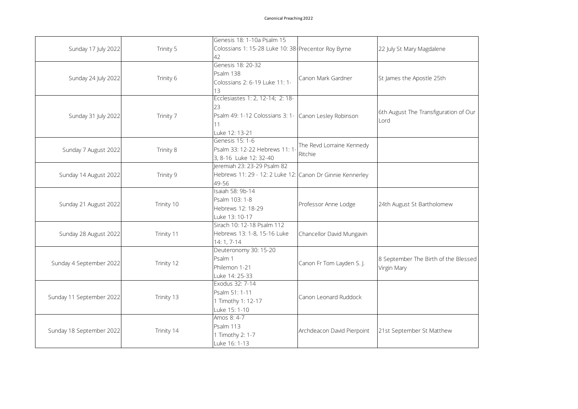| Sunday 17 July 2022      | Trinity 5  | Genesis 18: 1-10a Psalm 15<br>Colossians 1: 15-28 Luke 10: 38 Precentor Roy Byrne<br>42                           |                                      | 22 July St Mary Magdalene                           |
|--------------------------|------------|-------------------------------------------------------------------------------------------------------------------|--------------------------------------|-----------------------------------------------------|
| Sunday 24 July 2022      | Trinity 6  | Genesis 18: 20-32<br>Psalm 138<br>Colossians 2: 6-19 Luke 11: 1-<br>13                                            | Canon Mark Gardner                   | St James the Apostle 25th                           |
| Sunday 31 July 2022      | Trinity 7  | Ecclesiastes 1: 2, 12-14; 2: 18-<br>23<br>Psalm 49: 1-12 Colossians 3: 1- Canon Lesley Robinson<br>Luke 12: 13-21 |                                      | 6th August The Transfiguration of Our<br>Lord       |
| Sunday 7 August 2022     | Trinity 8  | Genesis 15: 1-6<br>Psalm 33: 12-22 Hebrews 11: 1-<br>3, 8-16 Luke 12: 32-40                                       | The Revd Lorraine Kennedy<br>Ritchie |                                                     |
| Sunday 14 August 2022    | Trinity 9  | Jeremiah 23: 23-29 Psalm 82<br>Hebrews 11: 29 - 12: 2 Luke 12: Canon Dr Ginnie Kennerley<br>49-56                 |                                      |                                                     |
| Sunday 21 August 2022    | Trinity 10 | Isaiah 58: 9b-14<br>Psalm 103: 1-8<br>Hebrews 12: 18-29<br>Luke 13: 10-17                                         | Professor Anne Lodge                 | 24th August St Bartholomew                          |
| Sunday 28 August 2022    | Trinity 11 | Sirach 10: 12-18 Psalm 112<br>Hebrews 13: 1-8, 15-16 Luke<br>14: 1, 7-14                                          | Chancellor David Mungavin            |                                                     |
| Sunday 4 September 2022  | Trinity 12 | Deuteronomy 30: 15-20<br>Psalm 1<br>Philemon 1-21<br>Luke 14: 25-33                                               | Canon Fr Tom Layden S. J.            | 8 September The Birth of the Blessed<br>Virgin Mary |
| Sunday 11 September 2022 | Trinity 13 | Exodus 32: 7-14<br>Psalm 51: 1-11<br>1 Timothy 1: 12-17<br>Luke 15: 1-10                                          | Canon Leonard Ruddock                |                                                     |
| Sunday 18 September 2022 | Trinity 14 | Amos 8: 4-7<br>Psalm 113<br>1 Timothy 2: 1-7<br>Luke 16: 1-13                                                     | Archdeacon David Pierpoint           | 21st September St Matthew                           |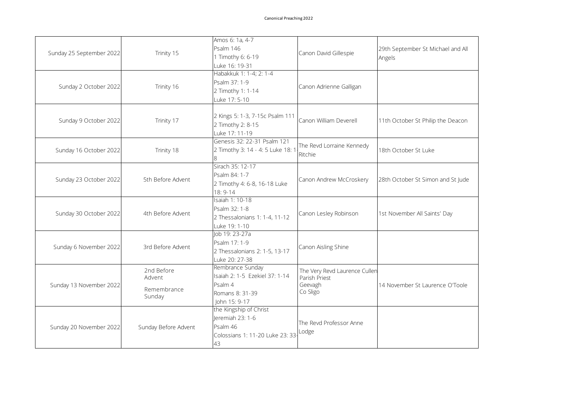| Sunday 25 September 2022 | Trinity 15                                    | Amos 6: 1a, 4-7<br>Psalm 146<br>1 Timothy 6: 6-19<br>Luke 16: 19-31                               | Canon David Gillespie                                                 | 29th September St Michael and All<br>Angels |
|--------------------------|-----------------------------------------------|---------------------------------------------------------------------------------------------------|-----------------------------------------------------------------------|---------------------------------------------|
| Sunday 2 October 2022    | Trinity 16                                    | Habakkuk 1: 1-4; 2: 1-4<br>Psalm 37: 1-9<br>2 Timothy 1: 1-14<br>Luke 17: 5-10                    | Canon Adrienne Galligan                                               |                                             |
| Sunday 9 October 2022    | Trinity 17                                    | 2 Kings 5: 1-3, 7-15c Psalm 111<br>2 Timothy 2: 8-15<br>Luke 17: 11-19                            | Canon William Deverell                                                | 11th October St Philip the Deacon           |
| Sunday 16 October 2022   | Trinity 18                                    | Genesis 32: 22-31 Psalm 121<br>2 Timothy 3: 14 - 4: 5 Luke 18: 1                                  | The Revd Lorraine Kennedy<br>Ritchie                                  | 18th October St Luke                        |
| Sunday 23 October 2022   | 5th Before Advent                             | Sirach 35: 12-17<br>Psalm 84: 1-7<br>2 Timothy 4: 6-8, 16-18 Luke<br>18:9-14                      | Canon Andrew McCroskery                                               | 28th October St Simon and St Jude           |
| Sunday 30 October 2022   | 4th Before Advent                             | Isaiah 1: 10-18<br>Psalm 32: 1-8<br>2 Thessalonians 1: 1-4, 11-12<br>Luke 19: 1-10                | Canon Lesley Robinson                                                 | 1st November All Saints' Day                |
| Sunday 6 November 2022   | 3rd Before Advent                             | lob 19: 23-27a<br>Psalm 17: 1-9<br>2 Thessalonians 2: 1-5, 13-17<br>Luke 20: 27-38                | Canon Aisling Shine                                                   |                                             |
| Sunday 13 November 2022  | 2nd Before<br>Advent<br>Remembrance<br>Sunday | Rembrance Sunday<br>Isaiah 2: 1-5 Ezekiel 37: 1-14<br>Psalm 4<br>Romans 8: 31-39<br>John 15: 9-17 | The Very Revd Laurence Cullen<br>Parish Priest<br>Geevagh<br>Co Sligo | 14 November St Laurence O'Toole             |
| Sunday 20 November 2022  | Sunday Before Advent                          | the Kingship of Christ<br>leremiah 23: 1-6<br>Psalm 46<br>Colossians 1: 11-20 Luke 23: 33<br>43   | The Revd Professor Anne<br>Lodge                                      |                                             |